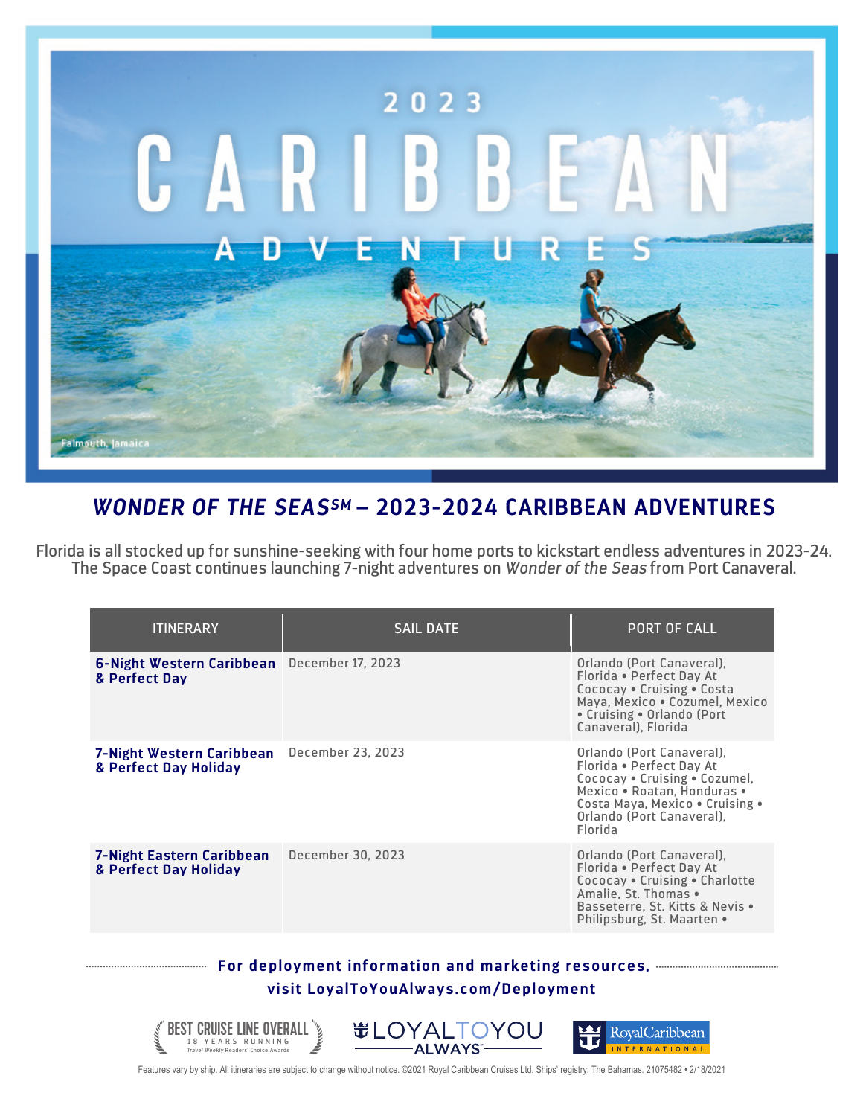

## *WONDER OF THE SEASSM* **– 2023-2024 CARIBBEAN ADVENTURES**

Florida is all stocked up for sunshine-seeking with four home ports to kickstart endless adventures in 2023-24. The Space Coast continues launching 7-night adventures on *Wonder of the Seas* from Port Canaveral.

| <b>ITINERARY</b>                                   | <b>SAIL DATE</b>  | <b>PORT OF CALL</b>                                                                                                                                                                              |
|----------------------------------------------------|-------------------|--------------------------------------------------------------------------------------------------------------------------------------------------------------------------------------------------|
| 6-Night Western Caribbean<br>& Perfect Dav         | December 17, 2023 | Orlando (Port Canaveral),<br>Florida • Perfect Day At<br>Cococay • Cruising • Costa<br>Maya, Mexico . Cozumel, Mexico<br>• Cruising • Orlando (Port<br>Canaveral). Florida                       |
| 7-Night Western Caribbean<br>& Perfect Day Holiday | December 23, 2023 | Orlando (Port Canaveral),<br>Florida • Perfect Day At<br>Cococay • Cruising • Cozumel,<br>Mexico . Roatan, Honduras .<br>Costa Maya, Mexico . Cruising .<br>Orlando (Port Canaveral),<br>Florida |
| 7-Night Eastern Caribbean<br>& Perfect Day Holiday | December 30, 2023 | Orlando (Port Canaveral),<br>Florida • Perfect Day At<br>Cococay . Cruising . Charlotte<br>Amalie, St. Thomas .<br>Basseterre. St. Kitts & Nevis .<br>Philipsburg, St. Maarten •                 |

## **For deployment information and marketing resources, visit LoyalToYouAlways.com/Deployment**



Features vary by ship. All itineraries are subject to change without notice. ©2021 Royal Caribbean Cruises Ltd. Ships' registry: The Bahamas. 21075482 • 2/18/2021